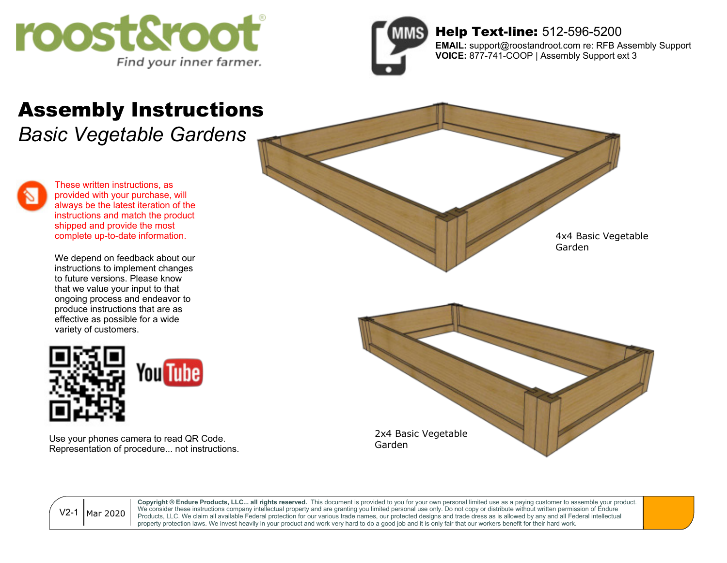



## Help Text-line: 512-596-5200

**EMAIL:** support@roostandroot.com re: RFB Assembly Support **VOICE:** 877-741-COOP | Assembly Support ext 3

## Assembly Instructions

*Basic Vegetable Gardens*

These written instructions, as provided with your purchase, will always be the latest iteration of the instructions and match the product shipped and provide the most complete up-to-date information.

We depend on feedback about our instructions to implement changes to future versions. Please know that we value your input to that ongoing process and endeavor to produce instructions that are as effective as possible for a wide variety of customers.



Use your phones camera to read QR Code. Representation of procedure... not instructions.



Mar 2020 V2-1

**Copyright ® Endure Products, LLC... all rights reserved.** This document is provided to you for your own personal limited use as a paying customer to assemble your product. We consider these instructions company intellectual property and are granting you limited personal use only. Do not copy or distribute without written permission of Endure Products, LLC. We claim all available Federal protection for our various trade names, our protected designs and trade dress as is allowed by any and all Federal intellectual property protection laws. We invest heavily in your product and work very hard to do a good job and it is only fair that our workers benefit for their hard work.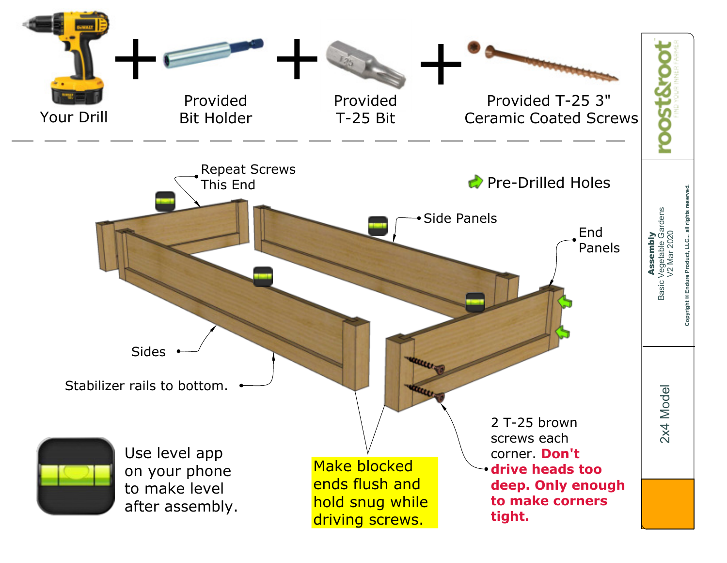